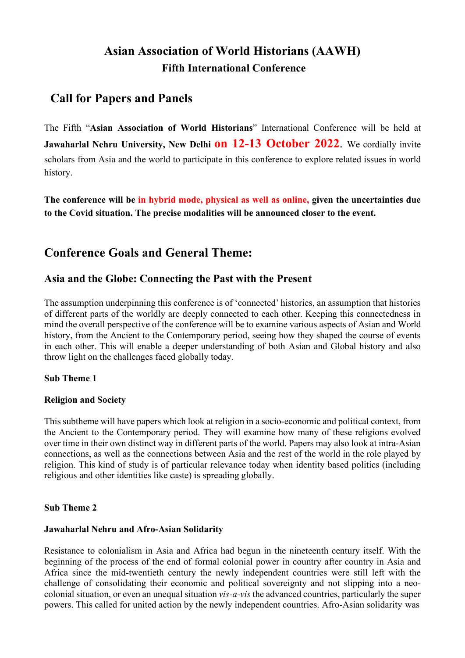# **Asian Association of World Historians (AAWH) Fifth International Conference**

# **Call for Papers and Panels**

The Fifth "**Asian Association of World Historians**" International Conference will be held at Jawaharlal Nehru University, New Delhi **on 12-13 October 2022**. We cordially invite scholars from Asia and the world to participate in this conference to explore related issues in world history.

**The conference will be in hybrid mode, physical as well as online, given the uncertainties due to the Covid situation. The precise modalities will be announced closer to the event.**

## **Conference Goals and General Theme:**

## **Asia and the Globe: Connecting the Past with the Present**

The assumption underpinning this conference is of 'connected' histories, an assumption that histories of different parts of the worldly are deeply connected to each other. Keeping this connectedness in mind the overall perspective of the conference will be to examine various aspects of Asian and World history, from the Ancient to the Contemporary period, seeing how they shaped the course of events in each other. This will enable a deeper understanding of both Asian and Global history and also throw light on the challenges faced globally today.

## **Sub Theme 1**

## **Religion and Society**

This subtheme will have papers which look at religion in a socio-economic and political context, from the Ancient to the Contemporary period. They will examine how many of these religions evolved over time in their own distinct way in different parts of the world. Papers may also look at intra-Asian connections, as well as the connections between Asia and the rest of the world in the role played by religion. This kind of study is of particular relevance today when identity based politics (including religious and other identities like caste) is spreading globally.

## **Sub Theme 2**

## **Jawaharlal Nehru and Afro-Asian Solidarity**

Resistance to colonialism in Asia and Africa had begun in the nineteenth century itself. With the beginning of the process of the end of formal colonial power in country after country in Asia and Africa since the mid-twentieth century the newly independent countries were still left with the challenge of consolidating their economic and political sovereignty and not slipping into a neocolonial situation, or even an unequal situation *vis-a-vis* the advanced countries, particularly the super powers. This called for united action by the newly independent countries. Afro-Asian solidarity was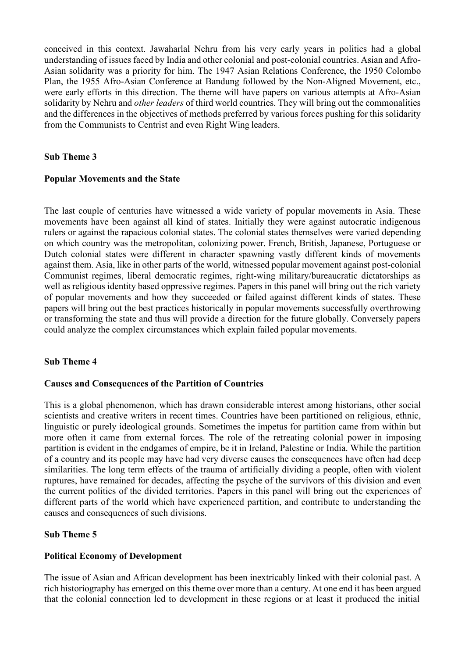conceived in this context. Jawaharlal Nehru from his very early years in politics had a global understanding of issues faced by India and other colonial and post-colonial countries. Asian and Afro-Asian solidarity was a priority for him. The 1947 Asian Relations Conference, the 1950 Colombo Plan, the 1955 Afro-Asian Conference at Bandung followed by the Non-Aligned Movement, etc., were early efforts in this direction. The theme will have papers on various attempts at Afro-Asian solidarity by Nehru and *other leaders* of third world countries. They will bring out the commonalities and the differences in the objectives of methods preferred by various forces pushing for this solidarity from the Communists to Centrist and even Right Wing leaders.

## **Sub Theme 3**

### **Popular Movements and the State**

The last couple of centuries have witnessed a wide variety of popular movements in Asia. These movements have been against all kind of states. Initially they were against autocratic indigenous rulers or against the rapacious colonial states. The colonial states themselves were varied depending on which country was the metropolitan, colonizing power. French, British, Japanese, Portuguese or Dutch colonial states were different in character spawning vastly different kinds of movements against them. Asia, like in other parts of the world, witnessed popular movement against post-colonial Communist regimes, liberal democratic regimes, right-wing military/bureaucratic dictatorships as well as religious identity based oppressive regimes. Papers in this panel will bring out the rich variety of popular movements and how they succeeded or failed against different kinds of states. These papers will bring out the best practices historically in popular movements successfully overthrowing or transforming the state and thus will provide a direction for the future globally. Conversely papers could analyze the complex circumstances which explain failed popular movements.

## **Sub Theme 4**

#### **Causes and Consequences of the Partition of Countries**

This is a global phenomenon, which has drawn considerable interest among historians, other social scientists and creative writers in recent times. Countries have been partitioned on religious, ethnic, linguistic or purely ideological grounds. Sometimes the impetus for partition came from within but more often it came from external forces. The role of the retreating colonial power in imposing partition is evident in the endgames of empire, be it in Ireland, Palestine or India. While the partition of a country and its people may have had very diverse causes the consequences have often had deep similarities. The long term effects of the trauma of artificially dividing a people, often with violent ruptures, have remained for decades, affecting the psyche of the survivors of this division and even the current politics of the divided territories. Papers in this panel will bring out the experiences of different parts of the world which have experienced partition, and contribute to understanding the causes and consequences of such divisions.

#### **Sub Theme 5**

#### **Political Economy of Development**

The issue of Asian and African development has been inextricably linked with their colonial past. A rich historiography has emerged on this theme over more than a century. At one end it has been argued that the colonial connection led to development in these regions or at least it produced the initial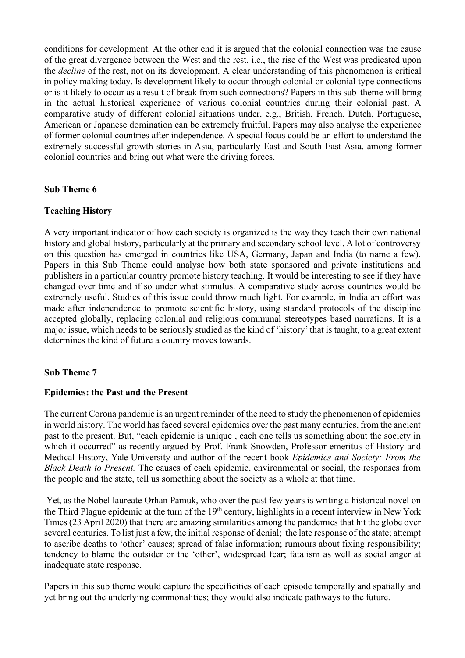conditions for development. At the other end it is argued that the colonial connection was the cause of the great divergence between the West and the rest, i.e., the rise of the West was predicated upon the *decline* of the rest, not on its development. A clear understanding of this phenomenon is critical in policy making today. Is development likely to occur through colonial or colonial type connections or is it likely to occur as a result of break from such connections? Papers in this sub theme will bring in the actual historical experience of various colonial countries during their colonial past. A comparative study of different colonial situations under, e.g., British, French, Dutch, Portuguese, American or Japanese domination can be extremely fruitful. Papers may also analyse the experience of former colonial countries after independence. A special focus could be an effort to understand the extremely successful growth stories in Asia, particularly East and South East Asia, among former colonial countries and bring out what were the driving forces.

### **Sub Theme 6**

### **Teaching History**

A very important indicator of how each society is organized is the way they teach their own national history and global history, particularly at the primary and secondary school level. A lot of controversy on this question has emerged in countries like USA, Germany, Japan and India (to name a few). Papers in this Sub Theme could analyse how both state sponsored and private institutions and publishers in a particular country promote history teaching. It would be interesting to see if they have changed over time and if so under what stimulus. A comparative study across countries would be extremely useful. Studies of this issue could throw much light. For example, in India an effort was made after independence to promote scientific history, using standard protocols of the discipline accepted globally, replacing colonial and religious communal stereotypes based narrations. It is a major issue, which needs to be seriously studied as the kind of 'history' that is taught, to a great extent determines the kind of future a country moves towards.

#### **Sub Theme 7**

#### **Epidemics: the Past and the Present**

The current Corona pandemic is an urgent reminder of the need to study the phenomenon of epidemics in world history. The world hasfaced several epidemics over the past many centuries, from the ancient past to the present. But, "each epidemic is unique , each one tells us something about the society in which it occurred" as recently argued by Prof. Frank Snowden, Professor emeritus of History and Medical History, Yale University and author of the recent book *Epidemics and Society: From the Black Death to Present.* The causes of each epidemic, environmental or social, the responses from the people and the state, tell us something about the society as a whole at that time.

Yet, as the Nobel laureate Orhan Pamuk, who over the past few years is writing a historical novel on the Third Plague epidemic at the turn of the 19<sup>th</sup> century, highlights in a recent interview in New York Times (23 April 2020) that there are amazing similarities among the pandemics that hit the globe over several centuries. To list just a few, the initial response of denial; the late response of the state; attempt to ascribe deaths to 'other' causes; spread of false information; rumours about fixing responsibility; tendency to blame the outsider or the 'other', widespread fear; fatalism as well as social anger at inadequate state response.

Papers in this sub theme would capture the specificities of each episode temporally and spatially and yet bring out the underlying commonalities; they would also indicate pathways to the future.